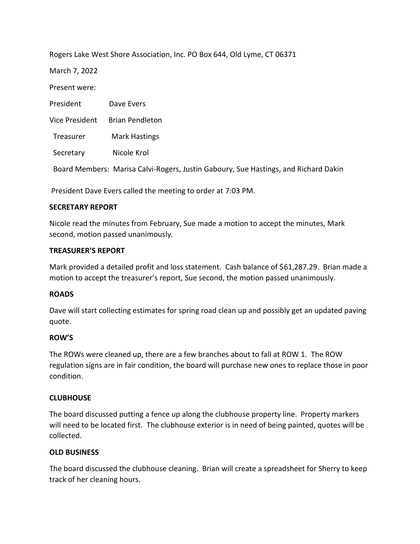Rogers Lake West Shore Association, Inc. PO Box 644, Old Lyme, CT 06371

March 7, 2022

Present were:

| President      | Dave Evers                                                                          |
|----------------|-------------------------------------------------------------------------------------|
| Vice President | <b>Brian Pendleton</b>                                                              |
| Treasurer      | <b>Mark Hastings</b>                                                                |
| Secretary      | Nicole Krol                                                                         |
|                | Board Members: Marisa Calvi-Rogers, Justin Gaboury, Sue Hastings, and Richard Dakin |

President Dave Evers called the meeting to order at 7:03 PM.

# **SECRETARY REPORT**

Nicole read the minutes from February, Sue made a motion to accept the minutes, Mark second, motion passed unanimously.

# **TREASURER'S REPORT**

Mark provided a detailed profit and loss statement. Cash balance of \$61,287.29. Brian made a motion to accept the treasurer's report, Sue second, the motion passed unanimously.

# **ROADS**

Dave will start collecting estimates for spring road clean up and possibly get an updated paving quote.

# **ROW'S**

The ROWs were cleaned up, there are a few branches about to fall at ROW 1. The ROW regulation signs are in fair condition, the board will purchase new ones to replace those in poor condition.

# **CLUBHOUSE**

The board discussed putting a fence up along the clubhouse property line. Property markers will need to be located first. The clubhouse exterior is in need of being painted, quotes will be collected.

# **OLD BUSINESS**

The board discussed the clubhouse cleaning. Brian will create a spreadsheet for Sherry to keep track of her cleaning hours.